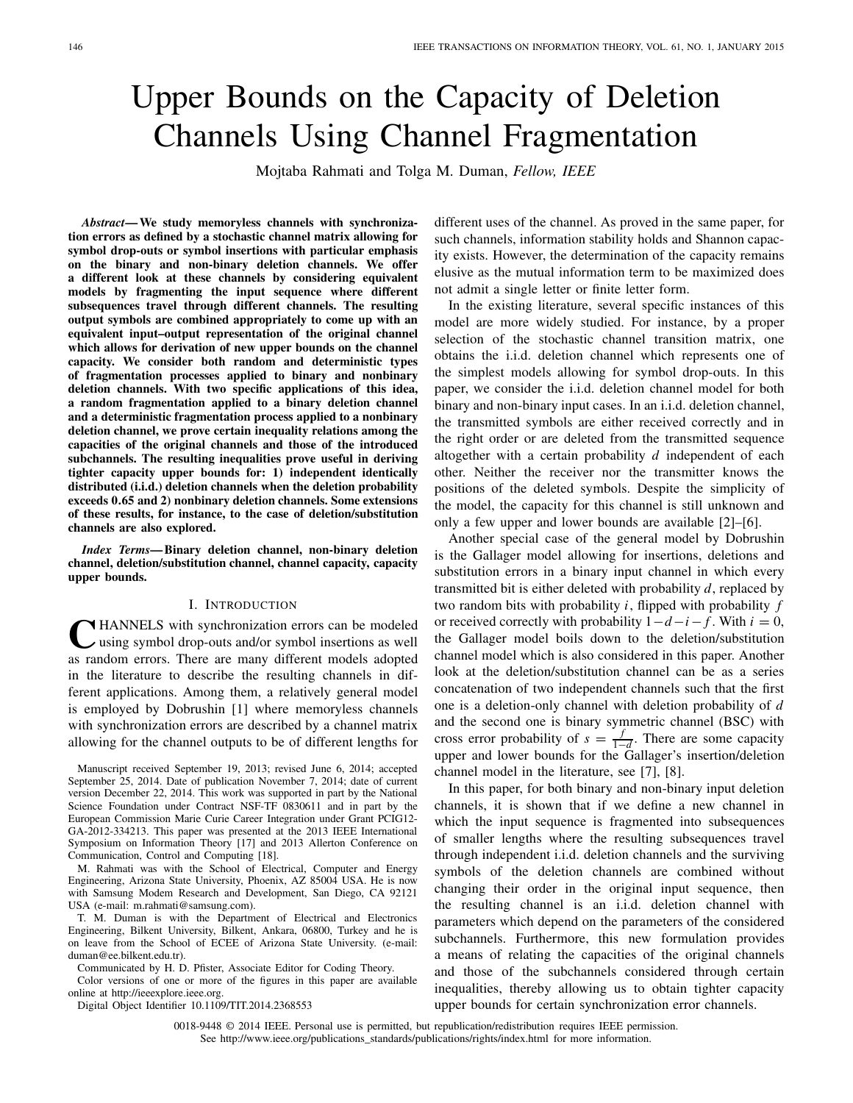# Upper Bounds on the Capacity of Deletion Channels Using Channel Fragmentation

Mojtaba Rahmati and Tolga M. Duman, *Fellow, IEEE*

*Abstract***— We study memoryless channels with synchronization errors as defined by a stochastic channel matrix allowing for symbol drop-outs or symbol insertions with particular emphasis on the binary and non-binary deletion channels. We offer a different look at these channels by considering equivalent models by fragmenting the input sequence where different subsequences travel through different channels. The resulting output symbols are combined appropriately to come up with an equivalent input–output representation of the original channel which allows for derivation of new upper bounds on the channel capacity. We consider both random and deterministic types of fragmentation processes applied to binary and nonbinary deletion channels. With two specific applications of this idea, a random fragmentation applied to a binary deletion channel and a deterministic fragmentation process applied to a nonbinary deletion channel, we prove certain inequality relations among the capacities of the original channels and those of the introduced subchannels. The resulting inequalities prove useful in deriving tighter capacity upper bounds for: 1) independent identically distributed (i.i.d.) deletion channels when the deletion probability exceeds 0***.***65 and 2) nonbinary deletion channels. Some extensions of these results, for instance, to the case of deletion/substitution channels are also explored.**

*Index Terms***— Binary deletion channel, non-binary deletion channel, deletion/substitution channel, channel capacity, capacity upper bounds.**

## I. INTRODUCTION

**C**HANNELS with synchronization errors can be modeled using symbol drop-outs and/or symbol insertions as well as random errors. There are many different models adopted in the literature to describe the resulting channels in different applications. Among them, a relatively general model is employed by Dobrushin [1] where memoryless channels with synchronization errors are described by a channel matrix allowing for the channel outputs to be of different lengths for

Manuscript received September 19, 2013; revised June 6, 2014; accepted September 25, 2014. Date of publication November 7, 2014; date of current version December 22, 2014. This work was supported in part by the National Science Foundation under Contract NSF-TF 0830611 and in part by the European Commission Marie Curie Career Integration under Grant PCIG12- GA-2012-334213. This paper was presented at the 2013 IEEE International Symposium on Information Theory [17] and 2013 Allerton Conference on Communication, Control and Computing [18].

M. Rahmati was with the School of Electrical, Computer and Energy Engineering, Arizona State University, Phoenix, AZ 85004 USA. He is now with Samsung Modem Research and Development, San Diego, CA 92121 USA (e-mail: m.rahmati@samsung.com).

T. M. Duman is with the Department of Electrical and Electronics Engineering, Bilkent University, Bilkent, Ankara, 06800, Turkey and he is on leave from the School of ECEE of Arizona State University. (e-mail: duman@ee.bilkent.edu.tr).

Communicated by H. D. Pfister, Associate Editor for Coding Theory. Color versions of one or more of the figures in this paper are available

online at http://ieeexplore.ieee.org.

Digital Object Identifier 10.1109/TIT.2014.2368553

different uses of the channel. As proved in the same paper, for such channels, information stability holds and Shannon capacity exists. However, the determination of the capacity remains elusive as the mutual information term to be maximized does not admit a single letter or finite letter form.

In the existing literature, several specific instances of this model are more widely studied. For instance, by a proper selection of the stochastic channel transition matrix, one obtains the i.i.d. deletion channel which represents one of the simplest models allowing for symbol drop-outs. In this paper, we consider the i.i.d. deletion channel model for both binary and non-binary input cases. In an i.i.d. deletion channel, the transmitted symbols are either received correctly and in the right order or are deleted from the transmitted sequence altogether with a certain probability *d* independent of each other. Neither the receiver nor the transmitter knows the positions of the deleted symbols. Despite the simplicity of the model, the capacity for this channel is still unknown and only a few upper and lower bounds are available [2]–[6].

Another special case of the general model by Dobrushin is the Gallager model allowing for insertions, deletions and substitution errors in a binary input channel in which every transmitted bit is either deleted with probability *d*, replaced by two random bits with probability *i*, flipped with probability *f* or received correctly with probability  $1-d-i-f$ . With  $i = 0$ , the Gallager model boils down to the deletion/substitution channel model which is also considered in this paper. Another look at the deletion/substitution channel can be as a series concatenation of two independent channels such that the first one is a deletion-only channel with deletion probability of *d* and the second one is binary symmetric channel (BSC) with cross error probability of  $s = \frac{f}{1-d}$ . There are some capacity upper and lower bounds for the Gallager's insertion/deletion channel model in the literature, see [7], [8].

In this paper, for both binary and non-binary input deletion channels, it is shown that if we define a new channel in which the input sequence is fragmented into subsequences of smaller lengths where the resulting subsequences travel through independent i.i.d. deletion channels and the surviving symbols of the deletion channels are combined without changing their order in the original input sequence, then the resulting channel is an i.i.d. deletion channel with parameters which depend on the parameters of the considered subchannels. Furthermore, this new formulation provides a means of relating the capacities of the original channels and those of the subchannels considered through certain inequalities, thereby allowing us to obtain tighter capacity upper bounds for certain synchronization error channels.

0018-9448 © 2014 IEEE. Personal use is permitted, but republication/redistribution requires IEEE permission. See http://www.ieee.org/publications\_standards/publications/rights/index.html for more information.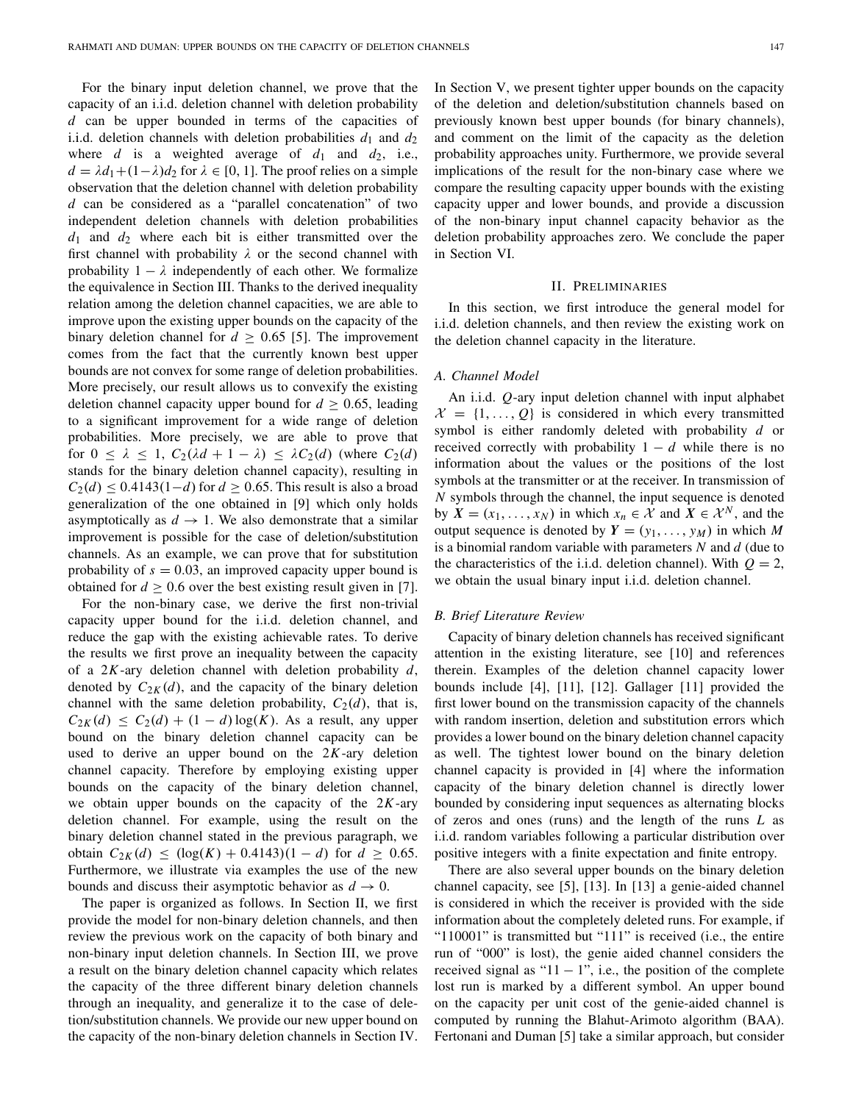For the binary input deletion channel, we prove that the capacity of an i.i.d. deletion channel with deletion probability *d* can be upper bounded in terms of the capacities of i.i.d. deletion channels with deletion probabilities  $d_1$  and  $d_2$ where  $d$  is a weighted average of  $d_1$  and  $d_2$ , i.e.,  $d = \lambda d_1 + (1 - \lambda)d_2$  for  $\lambda \in [0, 1]$ . The proof relies on a simple observation that the deletion channel with deletion probability *d* can be considered as a "parallel concatenation" of two independent deletion channels with deletion probabilities  $d_1$  and  $d_2$  where each bit is either transmitted over the first channel with probability  $\lambda$  or the second channel with probability  $1 - \lambda$  independently of each other. We formalize the equivalence in Section III. Thanks to the derived inequality relation among the deletion channel capacities, we are able to improve upon the existing upper bounds on the capacity of the binary deletion channel for  $d \geq 0.65$  [5]. The improvement comes from the fact that the currently known best upper bounds are not convex for some range of deletion probabilities. More precisely, our result allows us to convexify the existing deletion channel capacity upper bound for  $d > 0.65$ , leading to a significant improvement for a wide range of deletion probabilities. More precisely, we are able to prove that for  $0 \leq \lambda \leq 1$ ,  $C_2(\lambda d + 1 - \lambda) \leq \lambda C_2(d)$  (where  $C_2(d)$ ) stands for the binary deletion channel capacity), resulting in  $C_2(d) \leq 0.4143(1-d)$  for  $d \geq 0.65$ . This result is also a broad generalization of the one obtained in [9] which only holds asymptotically as  $d \rightarrow 1$ . We also demonstrate that a similar improvement is possible for the case of deletion/substitution channels. As an example, we can prove that for substitution probability of  $s = 0.03$ , an improved capacity upper bound is obtained for  $d \geq 0.6$  over the best existing result given in [7].

For the non-binary case, we derive the first non-trivial capacity upper bound for the i.i.d. deletion channel, and reduce the gap with the existing achievable rates. To derive the results we first prove an inequality between the capacity of a 2*K*-ary deletion channel with deletion probability *d*, denoted by  $C_{2K}(d)$ , and the capacity of the binary deletion channel with the same deletion probability,  $C_2(d)$ , that is,  $C_{2K}(d) \leq C_2(d) + (1-d)\log(K)$ . As a result, any upper bound on the binary deletion channel capacity can be used to derive an upper bound on the 2*K*-ary deletion channel capacity. Therefore by employing existing upper bounds on the capacity of the binary deletion channel, we obtain upper bounds on the capacity of the 2*K*-ary deletion channel. For example, using the result on the binary deletion channel stated in the previous paragraph, we obtain  $C_{2K}(d)$  ≤ (log(K) + 0.4143)(1 − *d*) for  $d \ge 0.65$ . Furthermore, we illustrate via examples the use of the new bounds and discuss their asymptotic behavior as  $d \to 0$ .

The paper is organized as follows. In Section II, we first provide the model for non-binary deletion channels, and then review the previous work on the capacity of both binary and non-binary input deletion channels. In Section III, we prove a result on the binary deletion channel capacity which relates the capacity of the three different binary deletion channels through an inequality, and generalize it to the case of deletion/substitution channels. We provide our new upper bound on the capacity of the non-binary deletion channels in Section IV. In Section V, we present tighter upper bounds on the capacity of the deletion and deletion/substitution channels based on previously known best upper bounds (for binary channels), and comment on the limit of the capacity as the deletion probability approaches unity. Furthermore, we provide several implications of the result for the non-binary case where we compare the resulting capacity upper bounds with the existing capacity upper and lower bounds, and provide a discussion of the non-binary input channel capacity behavior as the deletion probability approaches zero. We conclude the paper in Section VI.

#### II. PRELIMINARIES

In this section, we first introduce the general model for i.i.d. deletion channels, and then review the existing work on the deletion channel capacity in the literature.

## *A. Channel Model*

An i.i.d. *Q*-ary input deletion channel with input alphabet  $X = \{1, \ldots, Q\}$  is considered in which every transmitted symbol is either randomly deleted with probability *d* or received correctly with probability  $1 - d$  while there is no information about the values or the positions of the lost symbols at the transmitter or at the receiver. In transmission of *N* symbols through the channel, the input sequence is denoted by  $X = (x_1, \ldots, x_N)$  in which  $x_n \in \mathcal{X}$  and  $X \in \mathcal{X}^N$ , and the output sequence is denoted by  $Y = (y_1, \ldots, y_M)$  in which M is a binomial random variable with parameters *N* and *d* (due to the characteristics of the i.i.d. deletion channel). With  $Q = 2$ , we obtain the usual binary input i.i.d. deletion channel.

#### *B. Brief Literature Review*

Capacity of binary deletion channels has received significant attention in the existing literature, see [10] and references therein. Examples of the deletion channel capacity lower bounds include [4], [11], [12]. Gallager [11] provided the first lower bound on the transmission capacity of the channels with random insertion, deletion and substitution errors which provides a lower bound on the binary deletion channel capacity as well. The tightest lower bound on the binary deletion channel capacity is provided in [4] where the information capacity of the binary deletion channel is directly lower bounded by considering input sequences as alternating blocks of zeros and ones (runs) and the length of the runs *L* as i.i.d. random variables following a particular distribution over positive integers with a finite expectation and finite entropy.

There are also several upper bounds on the binary deletion channel capacity, see [5], [13]. In [13] a genie-aided channel is considered in which the receiver is provided with the side information about the completely deleted runs. For example, if "110001" is transmitted but "111" is received (i.e., the entire run of "000" is lost), the genie aided channel considers the received signal as "11  $-1$ ", i.e., the position of the complete lost run is marked by a different symbol. An upper bound on the capacity per unit cost of the genie-aided channel is computed by running the Blahut-Arimoto algorithm (BAA). Fertonani and Duman [5] take a similar approach, but consider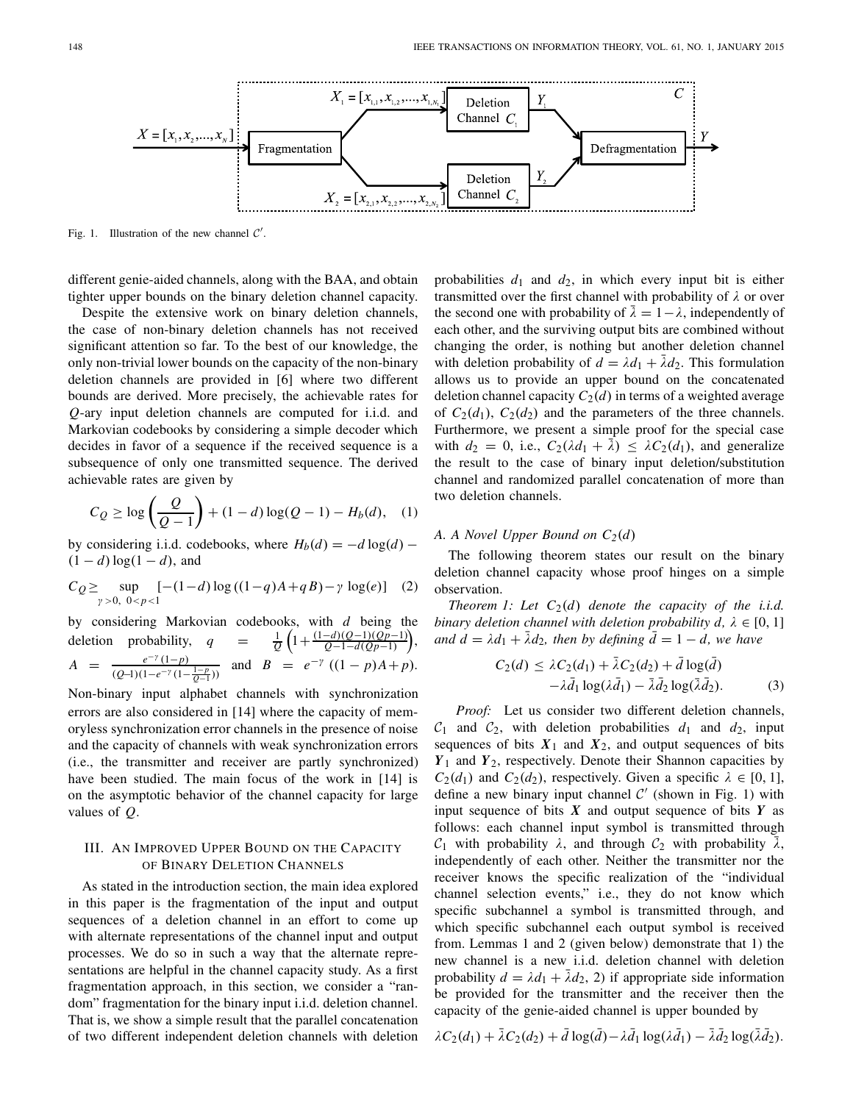

Fig. 1. Illustration of the new channel *<sup>C</sup>* .

different genie-aided channels, along with the BAA, and obtain tighter upper bounds on the binary deletion channel capacity.

Despite the extensive work on binary deletion channels, the case of non-binary deletion channels has not received significant attention so far. To the best of our knowledge, the only non-trivial lower bounds on the capacity of the non-binary deletion channels are provided in [6] where two different bounds are derived. More precisely, the achievable rates for *Q*-ary input deletion channels are computed for i.i.d. and Markovian codebooks by considering a simple decoder which decides in favor of a sequence if the received sequence is a subsequence of only one transmitted sequence. The derived achievable rates are given by

$$
C_Q \ge \log\left(\frac{Q}{Q-1}\right) + (1-d)\log(Q-1) - H_b(d), \quad (1)
$$

by considering i.i.d. codebooks, where  $H_b(d) = -d \log(d)$  –  $(1 - d) \log(1 - d)$ , and

$$
C_{Q} \ge \sup_{\gamma > 0, \ 0 < p < 1} \left[ -(1 - d) \log \left( (1 - q) A + q B \right) - \gamma \log(e) \right] \tag{2}
$$

by considering Markovian codebooks, with *d* being the deletion probability,  $q =$  $\frac{1}{Q}\left(1+\frac{(1-d)(Q-1)(Qp-1)}{Q-1-d(Qp-1)}\right)$ , *A* =  $\frac{e^{-\gamma}(1-p)}{(Q-1)(1-e^{-\gamma}(1-\frac{1-p}{Q-1}))}$ and *B* =  $e^{-\gamma}$  ((1 − *p*)*A* + *p*).

Non-binary input alphabet channels with synchronization errors are also considered in [14] where the capacity of memoryless synchronization error channels in the presence of noise and the capacity of channels with weak synchronization errors (i.e., the transmitter and receiver are partly synchronized) have been studied. The main focus of the work in [14] is on the asymptotic behavior of the channel capacity for large values of *Q*.

# III. AN IMPROVED UPPER BOUND ON THE CAPACITY OF BINARY DELETION CHANNELS

As stated in the introduction section, the main idea explored in this paper is the fragmentation of the input and output sequences of a deletion channel in an effort to come up with alternate representations of the channel input and output processes. We do so in such a way that the alternate representations are helpful in the channel capacity study. As a first fragmentation approach, in this section, we consider a "random" fragmentation for the binary input i.i.d. deletion channel. That is, we show a simple result that the parallel concatenation of two different independent deletion channels with deletion

probabilities  $d_1$  and  $d_2$ , in which every input bit is either transmitted over the first channel with probability of  $\lambda$  or over the second one with probability of  $\overline{\lambda} = 1 - \lambda$ , independently of each other, and the surviving output bits are combined without changing the order, is nothing but another deletion channel with deletion probability of  $d = \lambda d_1 + \lambda d_2$ . This formulation allows us to provide an upper bound on the concatenated deletion channel capacity  $C_2(d)$  in terms of a weighted average of  $C_2(d_1)$ ,  $C_2(d_2)$  and the parameters of the three channels. Furthermore, we present a simple proof for the special case with  $d_2 = 0$ , i.e.,  $C_2(\lambda d_1 + \overline{\lambda}) \leq \lambda C_2(d_1)$ , and generalize the result to the case of binary input deletion/substitution channel and randomized parallel concatenation of more than two deletion channels.

#### *A. A Novel Upper Bound on C2*(*d*)

The following theorem states our result on the binary deletion channel capacity whose proof hinges on a simple observation.

*Theorem 1: Let*  $C_2(d)$  *denote the capacity of the i.i.d. binary deletion channel with deletion probability d,*  $\lambda \in [0, 1]$ *and*  $d = \lambda d_1 + \overline{\lambda} d_2$ , then by defining  $\overline{d} = 1 - d$ , we have

$$
C_2(d) \le \lambda C_2(d_1) + \bar{\lambda} C_2(d_2) + \bar{d} \log(\bar{d})
$$
  
 
$$
-\lambda \bar{d}_1 \log(\lambda \bar{d}_1) - \bar{\lambda} \bar{d}_2 \log(\bar{\lambda} \bar{d}_2).
$$
 (3)

*Proof:* Let us consider two different deletion channels,  $C_1$  and  $C_2$ , with deletion probabilities  $d_1$  and  $d_2$ , input sequences of bits  $X_1$  and  $X_2$ , and output sequences of bits *Y*<sup>1</sup> and *Y*2, respectively. Denote their Shannon capacities by  $C_2(d_1)$  and  $C_2(d_2)$ , respectively. Given a specific  $\lambda \in [0, 1]$ , define a new binary input channel  $C'$  (shown in Fig. 1) with input sequence of bits  $X$  and output sequence of bits  $Y$  as follows: each channel input symbol is transmitted through  $C_1$  with probability  $\lambda$ , and through  $C_2$  with probability  $\overline{\lambda}$ , independently of each other. Neither the transmitter nor the receiver knows the specific realization of the "individual channel selection events," i.e., they do not know which specific subchannel a symbol is transmitted through, and which specific subchannel each output symbol is received from. Lemmas 1 and 2 (given below) demonstrate that 1) the new channel is a new i.i.d. deletion channel with deletion probability  $d = \lambda d_1 + \overline{\lambda} d_2$ , 2) if appropriate side information be provided for the transmitter and the receiver then the capacity of the genie-aided channel is upper bounded by

$$
\lambda C_2(d_1) + \bar{\lambda} C_2(d_2) + \bar{d} \log(\bar{d}) - \lambda \bar{d}_1 \log(\lambda \bar{d}_1) - \bar{\lambda} \bar{d}_2 \log(\bar{\lambda} \bar{d}_2).
$$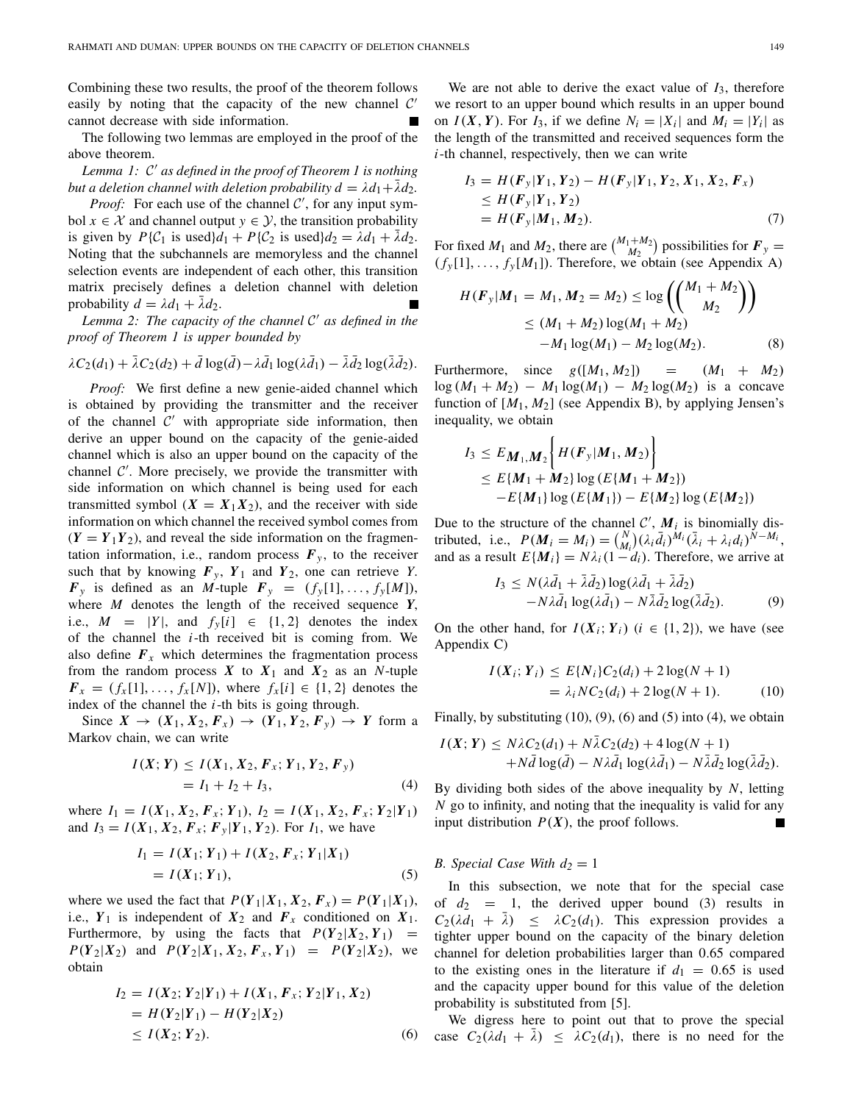Combining these two results, the proof of the theorem follows easily by noting that the capacity of the new channel *<sup>C</sup>* cannot decrease with side information.

The following two lemmas are employed in the proof of the above theorem.

*Lemma 1: <sup>C</sup> as defined in the proof of Theorem 1 is nothing but a deletion channel with deletion probability*  $d = \lambda d_1 + \lambda d_2$ *.* 

*Proof:* For each use of the channel  $C'$ , for any input symbol  $x \in \mathcal{X}$  and channel output  $y \in \mathcal{Y}$ , the transition probability is given by  $P\{C_1$  is used} $d_1 + P\{C_2$  is used} $d_2 = \lambda d_1 + \lambda d_2$ . Noting that the subchannels are memoryless and the channel selection events are independent of each other, this transition matrix precisely defines a deletion channel with deletion probability  $d = \lambda d_1 + \lambda d_2$ .

*Lemma 2: The capacity of the channel*  $C'$  *as defined in the proof of Theorem 1 is upper bounded by*

$$
\lambda C_2(d_1) + \bar{\lambda} C_2(d_2) + \bar{d} \log(\bar{d}) - \lambda \bar{d}_1 \log(\lambda \bar{d}_1) - \bar{\lambda} \bar{d}_2 \log(\bar{\lambda} \bar{d}_2).
$$

*Proof:* We first define a new genie-aided channel which is obtained by providing the transmitter and the receiver of the channel  $C'$  with appropriate side information, then derive an upper bound on the capacity of the genie-aided channel which is also an upper bound on the capacity of the channel *<sup>C</sup>* . More precisely, we provide the transmitter with side information on which channel is being used for each transmitted symbol  $(X = X_1 X_2)$ , and the receiver with side information on which channel the received symbol comes from  $(Y = Y_1 Y_2)$ , and reveal the side information on the fragmentation information, i.e., random process  $F_y$ , to the receiver such that by knowing  $F_y$ ,  $Y_1$  and  $Y_2$ , one can retrieve *Y*.  $\mathbf{F}_y$  is defined as an *M*-tuple  $\mathbf{F}_y = (f_y[1], \ldots, f_y[M]),$ where *M* denotes the length of the received sequence *Y*, i.e.,  $M = |Y|$ , and  $f_y[i] \in \{1, 2\}$  denotes the index of the channel the *i*-th received bit is coming from. We also define  $F_x$  which determines the fragmentation process from the random process  $X$  to  $X_1$  and  $X_2$  as an *N*-tuple  $F_x = (f_x[1], \ldots, f_x[N])$ , where  $f_x[i] \in \{1, 2\}$  denotes the index of the channel the *i*-th bits is going through.

Since  $X \rightarrow (X_1, X_2, F_x) \rightarrow (Y_1, Y_2, F_y) \rightarrow Y$  form a Markov chain, we can write

$$
I(X; Y) \le I(X_1, X_2, F_x; Y_1, Y_2, F_y)
$$
  
= I<sub>1</sub> + I<sub>2</sub> + I<sub>3</sub>, (4)

where  $I_1 = I(X_1, X_2, F_x; Y_1), I_2 = I(X_1, X_2, F_x; Y_2 | Y_1)$ and  $I_3 = I(X_1, X_2, F_x; F_y | Y_1, Y_2)$ . For  $I_1$ , we have

$$
I_1 = I(X_1; Y_1) + I(X_2, F_x; Y_1|X_1)
$$
  
= I(X<sub>1</sub>; Y<sub>1</sub>), (5)

where we used the fact that  $P(Y_1|X_1, X_2, F_x) = P(Y_1|X_1)$ , i.e.,  $Y_1$  is independent of  $X_2$  and  $F_x$  conditioned on  $X_1$ . Furthermore, by using the facts that  $P(Y_2|X_2, Y_1)$  $P(Y_2|X_2)$  and  $P(Y_2|X_1, X_2, F_x, Y_1) = P(Y_2|X_2)$ , we obtain

$$
I_2 = I(X_2; Y_2|Y_1) + I(X_1, F_x; Y_2|Y_1, X_2)
$$
  
=  $H(Y_2|Y_1) - H(Y_2|X_2)$   
 $\leq I(X_2; Y_2).$  (6)

We are not able to derive the exact value of  $I_3$ , therefore we resort to an upper bound which results in an upper bound on  $I(X, Y)$ . For  $I_3$ , if we define  $N_i = |X_i|$  and  $M_i = |Y_i|$  as the length of the transmitted and received sequences form the *i*-th channel, respectively, then we can write

$$
I_3 = H(F_y|Y_1, Y_2) - H(F_y|Y_1, Y_2, X_1, X_2, F_x)
$$
  
\n
$$
\leq H(F_y|Y_1, Y_2)
$$
  
\n
$$
= H(F_y|M_1, M_2).
$$
 (7)

For fixed  $M_1$  and  $M_2$ , there are  $\binom{M_1 + M_2}{M_2}$  possibilities for  $\mathbf{F}_y =$  $(f_y[1], \ldots, f_y[M_1])$ . Therefore, we obtain (see Appendix A)

$$
H(F_y|M_1 = M_1, M_2 = M_2) \le \log \left( {M_1 + M_2 \choose M_2} \right)
$$
  
 
$$
\le (M_1 + M_2) \log(M_1 + M_2)
$$
  
 
$$
-M_1 \log(M_1) - M_2 \log(M_2).
$$
 (8)

Furthermore, since  $g([M_1, M_2]) = (M_1 + M_2)$  $\log(M_1 + M_2) - M_1 \log(M_1) - M_2 \log(M_2)$  is a concave function of  $[M_1, M_2]$  (see Appendix B), by applying Jensen's inequality, we obtain

$$
I_3 \leq E_{\mathbf{M}_1, \mathbf{M}_2} \Big\{ H(F_y | \mathbf{M}_1, \mathbf{M}_2) \Big\}\leq E\{ \mathbf{M}_1 + \mathbf{M}_2 \} \log \left( E\{ \mathbf{M}_1 + \mathbf{M}_2 \} \right)-E\{ \mathbf{M}_1 \} \log \left( E\{ \mathbf{M}_1 \} \right) - E\{ \mathbf{M}_2 \} \log \left( E\{ \mathbf{M}_2 \} \right)
$$

Due to the structure of the channel  $\mathcal{C}'$ ,  $M_i$  is binomially distributed, i.e.,  $P(M_i = M_i) = {N \choose M_i} (\lambda_i \bar{d}_i)^{M_i} (\bar{\lambda}_i + \lambda_i d_i)^{N-M_i}$ , and as a result  $E{M_i} = N\lambda_i(1 - d_i)$ . Therefore, we arrive at

$$
I_3 \le N(\lambda \bar{d}_1 + \bar{\lambda} \bar{d}_2) \log(\lambda \bar{d}_1 + \bar{\lambda} \bar{d}_2)
$$
  
-N\lambda \bar{d}\_1 \log(\lambda \bar{d}\_1) - N\bar{\lambda} \bar{d}\_2 \log(\bar{\lambda} \bar{d}\_2). (9)

On the other hand, for  $I(X_i; Y_i)$  ( $i \in \{1, 2\}$ ), we have (see Appendix C)

$$
I(X_i; Y_i) \le E\{N_i\}C_2(d_i) + 2\log(N + 1) \\
= \lambda_i NC_2(d_i) + 2\log(N + 1). \tag{10}
$$

Finally, by substituting  $(10)$ ,  $(9)$ ,  $(6)$  and  $(5)$  into  $(4)$ , we obtain

$$
I(X;Y) \leq N\lambda C_2(d_1) + N\overline{\lambda}C_2(d_2) + 4\log(N+1)
$$
  
+
$$
N\overline{d}\log(\overline{d}) - N\lambda\overline{d_1}\log(\lambda\overline{d_1}) - N\overline{\lambda}\overline{d_2}\log(\overline{\lambda}\overline{d_2}).
$$

By dividing both sides of the above inequality by *N*, letting *N* go to infinity, and noting that the inequality is valid for any input distribution  $P(X)$ , the proof follows.

### *B. Special Case With*  $d_2 = 1$

In this subsection, we note that for the special case of  $d_2 = 1$ , the derived upper bound (3) results in  $C_2(\lambda d_1 + \bar{\lambda}) \leq \lambda C_2(d_1)$ . This expression provides a tighter upper bound on the capacity of the binary deletion channel for deletion probabilities larger than 0.65 compared to the existing ones in the literature if  $d_1 = 0.65$  is used and the capacity upper bound for this value of the deletion probability is substituted from [5].

We digress here to point out that to prove the special case  $C_2(\lambda d_1 + \overline{\lambda}) \leq \lambda C_2(d_1)$ , there is no need for the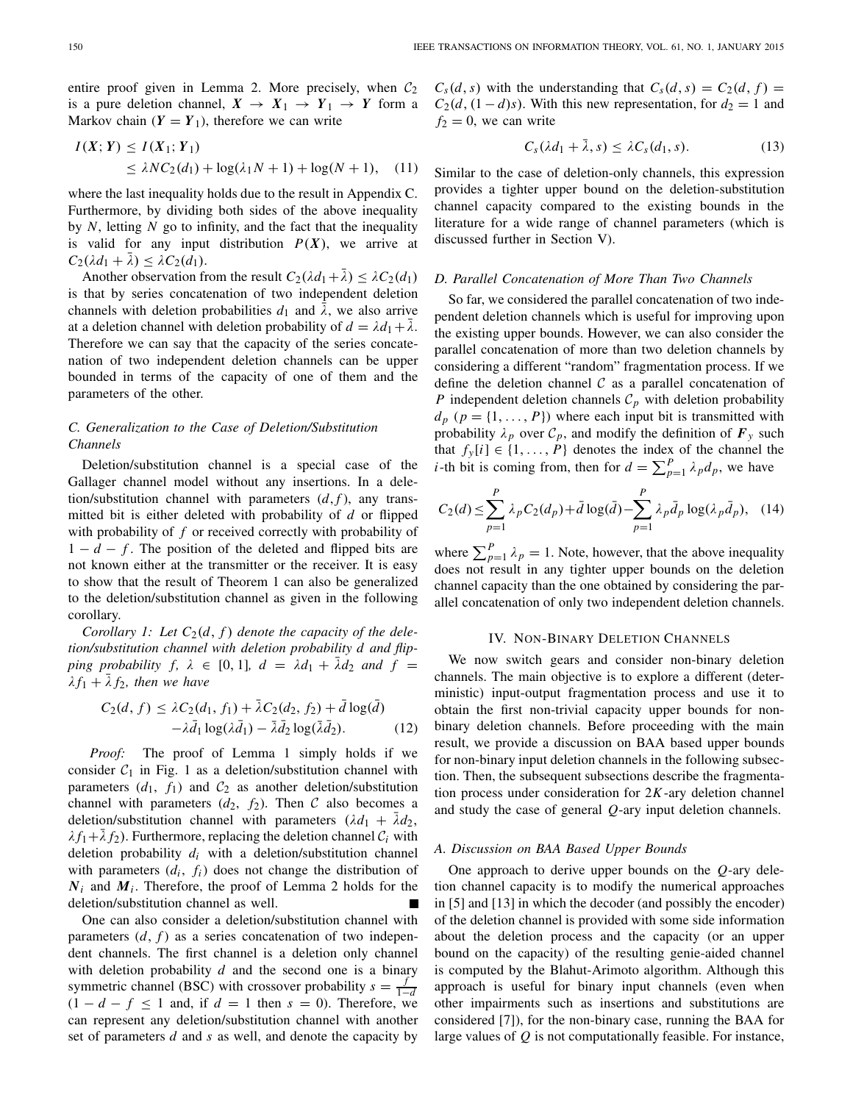entire proof given in Lemma 2. More precisely, when  $C_2$ is a pure deletion channel,  $X \rightarrow X_1 \rightarrow Y_1 \rightarrow Y$  form a Markov chain  $(Y = Y_1)$ , therefore we can write

$$
I(X; Y) \le I(X_1; Y_1)
$$
  
\n
$$
\le \lambda NC_2(d_1) + \log(\lambda_1 N + 1) + \log(N + 1), \quad (11)
$$

where the last inequality holds due to the result in Appendix C. Furthermore, by dividing both sides of the above inequality by *N*, letting *N* go to infinity, and the fact that the inequality is valid for any input distribution  $P(X)$ , we arrive at  $C_2(\lambda d_1 + \lambda) \leq \lambda C_2(d_1).$ 

Another observation from the result  $C_2(\lambda d_1 + \bar{\lambda}) \leq \lambda C_2(d_1)$ is that by series concatenation of two independent deletion channels with deletion probabilities  $d_1$  and  $\overline{\lambda}$ , we also arrive at a deletion channel with deletion probability of  $d = \lambda d_1 + \overline{\lambda}$ . Therefore we can say that the capacity of the series concatenation of two independent deletion channels can be upper bounded in terms of the capacity of one of them and the parameters of the other.

# *C. Generalization to the Case of Deletion/Substitution Channels*

Deletion/substitution channel is a special case of the Gallager channel model without any insertions. In a deletion/substitution channel with parameters  $(d, f)$ , any transmitted bit is either deleted with probability of *d* or flipped with probability of *f* or received correctly with probability of  $1 - d - f$ . The position of the deleted and flipped bits are not known either at the transmitter or the receiver. It is easy to show that the result of Theorem 1 can also be generalized to the deletion/substitution channel as given in the following corollary.

*Corollary 1: Let*  $C_2(d, f)$  *denote the capacity of the deletion/substitution channel with deletion probability d and flipping probability f,*  $\lambda \in [0, 1]$ ,  $d = \lambda d_1 + \overline{\lambda} d_2$  *and*  $f =$  $\lambda f_1 + \bar{\lambda} f_2$ , then we have

$$
C_2(d, f) \leq \lambda C_2(d_1, f_1) + \bar{\lambda} C_2(d_2, f_2) + \bar{d} \log(\bar{d})
$$
  
- $\lambda \bar{d}_1 \log(\lambda \bar{d}_1) - \bar{\lambda} \bar{d}_2 \log(\bar{\lambda} \bar{d}_2).$  (12)

*Proof:* The proof of Lemma 1 simply holds if we consider  $C_1$  in Fig. 1 as a deletion/substitution channel with parameters  $(d_1, f_1)$  and  $C_2$  as another deletion/substitution channel with parameters  $(d_2, f_2)$ . Then C also becomes a deletion/substitution channel with parameters  $(\lambda d_1 + \lambda d_2)$ ,  $\lambda f_1 + \lambda f_2$ ). Furthermore, replacing the deletion channel  $C_i$  with deletion probability *di* with a deletion/substitution channel with parameters  $(d_i, f_i)$  does not change the distribution of  $N_i$  and  $M_i$ . Therefore, the proof of Lemma 2 holds for the deletion/substitution channel as well.

One can also consider a deletion/substitution channel with parameters  $(d, f)$  as a series concatenation of two independent channels. The first channel is a deletion only channel with deletion probability *d* and the second one is a binary symmetric channel (BSC) with crossover probability  $s = \frac{f^2}{1 - d}$  $(1 - d - f \le 1$  and, if  $d = 1$  then  $s = 0$ ). Therefore, we can represent any deletion/substitution channel with another set of parameters *d* and *s* as well, and denote the capacity by  $C_s(d, s)$  with the understanding that  $C_s(d, s) = C_2(d, f)$  $C_2(d, (1-d)s)$ . With this new representation, for  $d_2 = 1$  and  $f_2 = 0$ , we can write

$$
C_s(\lambda d_1 + \bar{\lambda}, s) \leq \lambda C_s(d_1, s). \tag{13}
$$

Similar to the case of deletion-only channels, this expression provides a tighter upper bound on the deletion-substitution channel capacity compared to the existing bounds in the literature for a wide range of channel parameters (which is discussed further in Section V).

#### *D. Parallel Concatenation of More Than Two Channels*

So far, we considered the parallel concatenation of two independent deletion channels which is useful for improving upon the existing upper bounds. However, we can also consider the parallel concatenation of more than two deletion channels by considering a different "random" fragmentation process. If we define the deletion channel  $C$  as a parallel concatenation of *P* independent deletion channels  $C_p$  with deletion probability  $d_p$  ( $p = \{1, \ldots, P\}$ ) where each input bit is transmitted with probability  $\lambda_p$  over  $\mathcal{C}_p$ , and modify the definition of  $\mathbf{F}_y$  such that  $f_y[i] \in \{1, ..., P\}$  denotes the index of the channel the *i*-th bit is coming from, then for  $d = \sum_{p=1}^{P} \lambda_p d_p$ , we have

$$
C_2(d) \le \sum_{p=1}^P \lambda_p C_2(d_p) + \bar{d} \log(\bar{d}) - \sum_{p=1}^P \lambda_p \bar{d}_p \log(\lambda_p \bar{d}_p), \quad (14)
$$

where  $\sum_{p=1}^{P} \lambda_p = 1$ . Note, however, that the above inequality does not result in any tighter upper bounds on the deletion channel capacity than the one obtained by considering the parallel concatenation of only two independent deletion channels.

## IV. NON-BINARY DELETION CHANNELS

We now switch gears and consider non-binary deletion channels. The main objective is to explore a different (deterministic) input-output fragmentation process and use it to obtain the first non-trivial capacity upper bounds for nonbinary deletion channels. Before proceeding with the main result, we provide a discussion on BAA based upper bounds for non-binary input deletion channels in the following subsection. Then, the subsequent subsections describe the fragmentation process under consideration for 2*K*-ary deletion channel and study the case of general *Q*-ary input deletion channels.

## *A. Discussion on BAA Based Upper Bounds*

One approach to derive upper bounds on the *Q*-ary deletion channel capacity is to modify the numerical approaches in [5] and [13] in which the decoder (and possibly the encoder) of the deletion channel is provided with some side information about the deletion process and the capacity (or an upper bound on the capacity) of the resulting genie-aided channel is computed by the Blahut-Arimoto algorithm. Although this approach is useful for binary input channels (even when other impairments such as insertions and substitutions are considered [7]), for the non-binary case, running the BAA for large values of *Q* is not computationally feasible. For instance,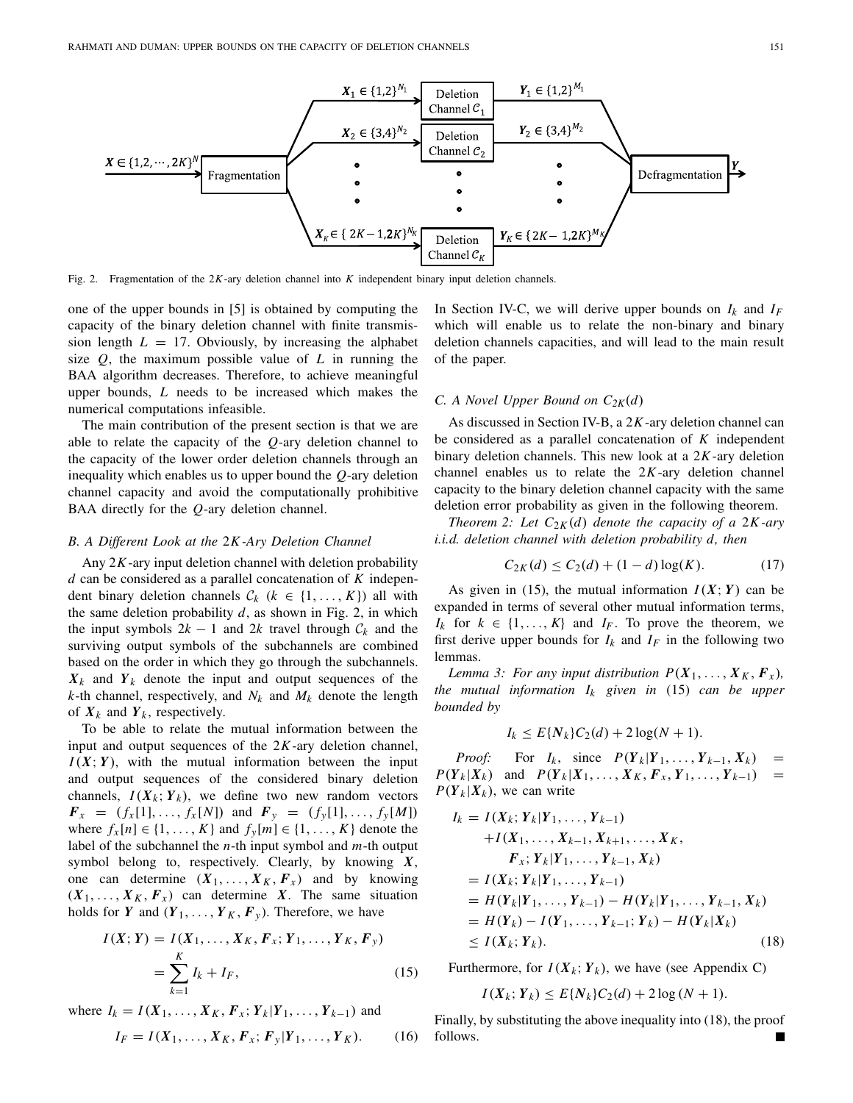

Fig. 2. Fragmentation of the 2*K*-ary deletion channel into *K* independent binary input deletion channels.

one of the upper bounds in [5] is obtained by computing the capacity of the binary deletion channel with finite transmission length  $L = 17$ . Obviously, by increasing the alphabet size *Q*, the maximum possible value of *L* in running the BAA algorithm decreases. Therefore, to achieve meaningful upper bounds, *L* needs to be increased which makes the numerical computations infeasible.

The main contribution of the present section is that we are able to relate the capacity of the *Q*-ary deletion channel to the capacity of the lower order deletion channels through an inequality which enables us to upper bound the *Q*-ary deletion channel capacity and avoid the computationally prohibitive BAA directly for the *Q*-ary deletion channel.

## *B. A Different Look at the* 2*K -Ary Deletion Channel*

Any 2*K*-ary input deletion channel with deletion probability *d* can be considered as a parallel concatenation of *K* independent binary deletion channels  $C_k$  ( $k \in \{1, ..., K\}$ ) all with the same deletion probability  $d$ , as shown in Fig. 2, in which the input symbols  $2k - 1$  and  $2k$  travel through  $C_k$  and the surviving output symbols of the subchannels are combined based on the order in which they go through the subchannels.  $X_k$  and  $Y_k$  denote the input and output sequences of the  $k$ -th channel, respectively, and  $N_k$  and  $M_k$  denote the length of  $X_k$  and  $Y_k$ , respectively.

To be able to relate the mutual information between the input and output sequences of the 2*K*-ary deletion channel,  $I(X; Y)$ , with the mutual information between the input and output sequences of the considered binary deletion channels,  $I(X_k; Y_k)$ , we define two new random vectors  $\mathbf{F}_x = (f_x[1], \ldots, f_x[N])$  and  $\mathbf{F}_y = (f_y[1], \ldots, f_y[M])$ where  $f_x[n] \in \{1, \ldots, K\}$  and  $f_y[m] \in \{1, \ldots, K\}$  denote the label of the subchannel the *n*-th input symbol and *m*-th output symbol belong to, respectively. Clearly, by knowing *X*, one can determine  $(X_1, \ldots, X_K, F_x)$  and by knowing  $(X_1, \ldots, X_K, F_x)$  can determine *X*. The same situation holds for *Y* and  $(Y_1, \ldots, Y_K, F_\nu)$ . Therefore, we have

$$
I(X; Y) = I(X_1, ..., X_K, F_x; Y_1, ..., Y_K, F_y)
$$
  
= 
$$
\sum_{k=1}^{K} I_k + I_F,
$$
 (15)

where  $I_k = I(X_1, ..., X_K, F_x; Y_k | Y_1, ..., Y_{k-1})$  and  $I_F = I(X_1, \ldots, X_K, F_x; F_y | Y_1, \ldots, Y_K)$ . (16) In Section IV-C, we will derive upper bounds on  $I_k$  and  $I_F$ which will enable us to relate the non-binary and binary deletion channels capacities, and will lead to the main result of the paper.

## *C. A Novel Upper Bound on*  $C_{2K}(d)$

As discussed in Section IV-B, a 2*K*-ary deletion channel can be considered as a parallel concatenation of *K* independent binary deletion channels. This new look at a 2*K*-ary deletion channel enables us to relate the 2*K*-ary deletion channel capacity to the binary deletion channel capacity with the same deletion error probability as given in the following theorem.

*Theorem 2: Let*  $C_{2K}(d)$  *denote the capacity of a 2K-ary i.i.d. deletion channel with deletion probability d, then*

$$
C_{2K}(d) \le C_2(d) + (1 - d)\log(K). \tag{17}
$$

As given in (15), the mutual information  $I(X; Y)$  can be expanded in terms of several other mutual information terms, *Ik* for  $k \in \{1, \ldots, K\}$  and *I<sub>F</sub>*. To prove the theorem, we first derive upper bounds for  $I_k$  and  $I_F$  in the following two lemmas.

*Lemma 3: For any input distribution*  $P(X_1, \ldots, X_K, F_x)$ , *the mutual information Ik given in* (15) *can be upper bounded by*

$$
I_k \le E\{N_k\}C_2(d) + 2\log(N+1).
$$

*Proof:* For  $I_k$ , since  $P(Y_k|Y_1,\ldots,Y_{k-1}, X_k)$  $P(Y_k | X_k)$  and  $P(Y_k | X_1, \ldots, X_K, F_x, Y_1, \ldots, Y_{k-1})$  $P(Y_k|X_k)$ , we can write

$$
I_{k} = I(X_{k}; Y_{k} | Y_{1},..., Y_{k-1})
$$
  
+ $I(X_{1},..., X_{k-1}, X_{k+1},..., X_{K},$   
 $F_{x}; Y_{k} | Y_{1},..., Y_{k-1}, X_{k})$   
=  $I(X_{k}; Y_{k} | Y_{1},..., Y_{k-1})$   
=  $H(Y_{k} | Y_{1},..., Y_{k-1}) - H(Y_{k} | Y_{1},..., Y_{k-1}, X_{k})$   
=  $H(Y_{k}) - I(Y_{1},..., Y_{k-1}; Y_{k}) - H(Y_{k} | X_{k})$   
 $\leq I(X_{k}; Y_{k}).$  (18)

Furthermore, for  $I(X_k; Y_k)$ , we have (see Appendix C)

$$
I(X_k; Y_k) \leq E\{N_k\}C_2(d) + 2\log(N+1).
$$

Finally, by substituting the above inequality into (18), the proof follows.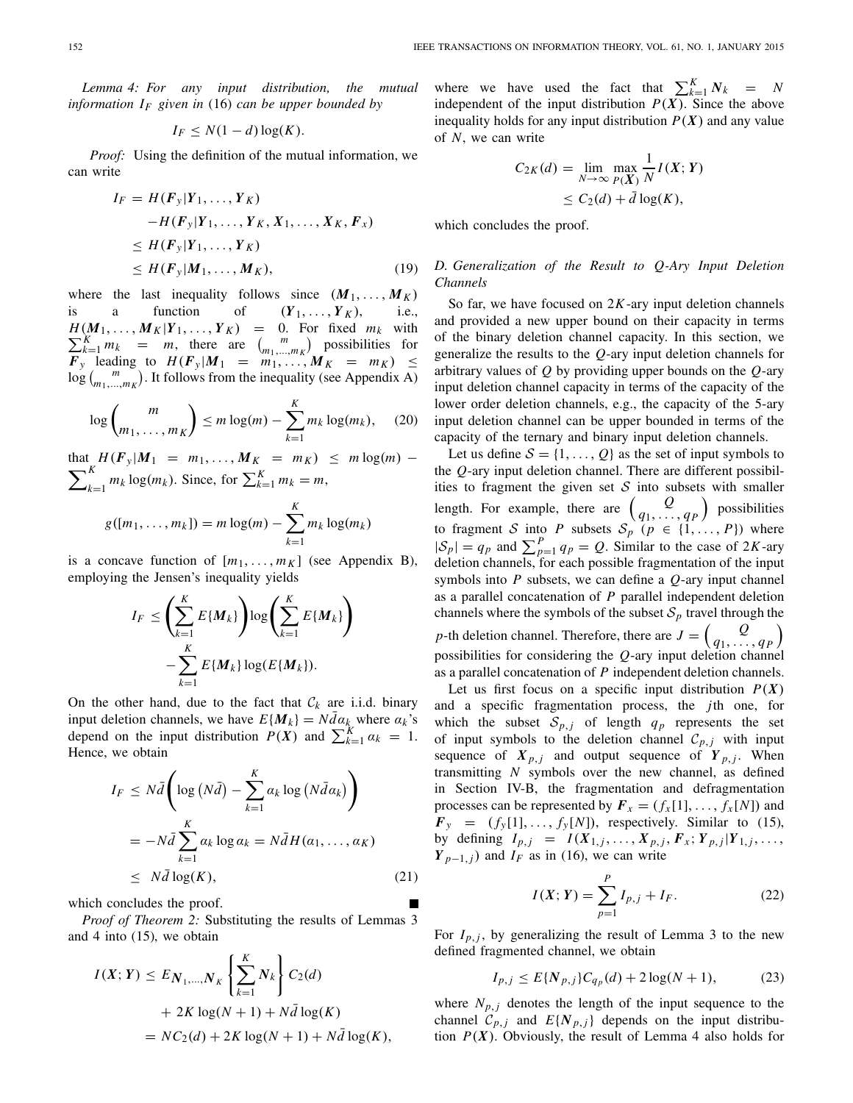*Lemma 4: For any input distribution, the mutual information IF given in* (16) *can be upper bounded by*

$$
I_F \leq N(1-d)\log(K).
$$

*Proof:* Using the definition of the mutual information, we can write

$$
I_F = H(F_y|Y_1, \dots, Y_K)
$$
  
\n
$$
-H(F_y|Y_1, \dots, Y_K, X_1, \dots, X_K, F_x)
$$
  
\n
$$
\leq H(F_y|Y_1, \dots, Y_K)
$$
  
\n
$$
\leq H(F_y|M_1, \dots, M_K),
$$
\n(19)

where the last inequality follows since  $(M_1, \ldots, M_K)$ is a function of  $(Y_1, \ldots, Y_K)$ , i.e.,  $\sum_{k=1}^{K} m_k = m$ , there are  $\binom{m}{m_1,\dots,m_K}$  possibilities for  $H(M_1, \ldots, M_K | Y_1, \ldots, Y_K) = 0$ . For fixed  $m_k$  with  $F_y$  leading to  $H(F_y|M_1 = m_1, ..., M_K = m_K) \le$  $\log \binom{m}{m_1,\dots,m_K}$ . It follows from the inequality (see Appendix A)

$$
\log {m \choose m_1, \dots, m_K} \le m \log(m) - \sum_{k=1}^K m_k \log(m_k), \quad (20)
$$

 $\sum_{k=1}^{K} m_k \log(m_k)$ . Since, for  $\sum_{k=1}^{K} m_k = m$ , that  $H(F_y | M_1 = m_1, ..., M_K = m_K) \leq m \log(m) - K$ 

$$
g([m_1,\ldots,m_k])=m\log(m)-\sum_{k=1}^K m_k\log(m_k)
$$

is a concave function of  $[m_1, \ldots, m_K]$  (see Appendix B), employing the Jensen's inequality yields

$$
I_F \leq \left(\sum_{k=1}^K E\{M_k\}\right) \log \left(\sum_{k=1}^K E\{M_k\}\right)
$$

$$
-\sum_{k=1}^K E\{M_k\} \log(E\{M_k\}).
$$

On the other hand, due to the fact that  $C_k$  are i.i.d. binary input deletion channels, we have  $E{M_k} = N\bar{d}a_k$  where  $a_k$ 's depend on the input distribution  $P(X)$  and  $\sum_{k=1}^{K} \alpha_k = 1$ . Hence, we obtain

$$
I_F \leq N\bar{d} \left( \log (N\bar{d}) - \sum_{k=1}^K \alpha_k \log (N\bar{d}\alpha_k) \right)
$$
  
=  $-N\bar{d} \sum_{k=1}^K \alpha_k \log \alpha_k = N\bar{d}H(\alpha_1, ..., \alpha_K)$   
 $\leq N\bar{d} \log(K),$  (21)

which concludes the proof.

*Proof of Theorem 2:* Substituting the results of Lemmas 3 and 4 into (15), we obtain

$$
I(X; Y) \le E_{N_1, ..., N_K} \left\{ \sum_{k=1}^K N_k \right\} C_2(d)
$$
  
+ 2K log(N + 1) + Nd log(K)  
= NC<sub>2</sub>(d) + 2K log(N + 1) + Nd log(K),

where we have used the fact that  $\sum_{k=1}^{K} N_k = N$ independent of the input distribution  $P(X)$ . Since the above inequality holds for any input distribution  $P(X)$  and any value of *N*, we can write

$$
C_{2K}(d) = \lim_{N \to \infty} \max_{P(X)} \frac{1}{N} I(X; Y)
$$
  

$$
\leq C_2(d) + \bar{d} \log(K),
$$

which concludes the proof.

# *D. Generalization of the Result to Q-Ary Input Deletion Channels*

So far, we have focused on 2*K*-ary input deletion channels and provided a new upper bound on their capacity in terms of the binary deletion channel capacity. In this section, we generalize the results to the *Q*-ary input deletion channels for arbitrary values of *Q* by providing upper bounds on the *Q*-ary input deletion channel capacity in terms of the capacity of the lower order deletion channels, e.g., the capacity of the 5-ary input deletion channel can be upper bounded in terms of the capacity of the ternary and binary input deletion channels.

Let us define  $S = \{1, \ldots, Q\}$  as the set of input symbols to the *Q*-ary input deletion channel. There are different possibilities to fragment the given set  $S$  into subsets with smaller length. For example, there are  $\begin{pmatrix} Q \\ q_1, \ldots, q_P \end{pmatrix}$  possibilities to fragment *S* into *P* subsets  $S_p$  ( $p \in \{1, ..., P\}$ ) where  $|\mathcal{S}_p| = q_p$  and  $\sum_{p=1}^p q_p = Q$ . Similar to the case of 2*K*-ary deletion channels, for each possible fragmentation of the input symbols into *P* subsets, we can define a *Q*-ary input channel as a parallel concatenation of *P* parallel independent deletion channels where the symbols of the subset  $S_p$  travel through the *p*-th deletion channel. Therefore, there are  $J = \begin{pmatrix} Q & Q \end{pmatrix}$  $\left(\begin{matrix}Q\qquadq_1,\ldots,q_P\end{matrix}\right)$ possibilities for considering the *Q*-ary input deletion channel as a parallel concatenation of *P* independent deletion channels.

Let us first focus on a specific input distribution  $P(X)$ and a specific fragmentation process, the *j*th one, for which the subset  $S_{p,j}$  of length  $q_p$  represents the set of input symbols to the deletion channel  $C_{p,j}$  with input sequence of  $X_{p,j}$  and output sequence of  $Y_{p,j}$ . When transmitting *N* symbols over the new channel, as defined in Section IV-B, the fragmentation and defragmentation processes can be represented by  $\mathbf{F}_x = (f_x[1], \ldots, f_x[N])$  and  $F_y = (f_y[1], \ldots, f_y[N])$ , respectively. Similar to (15), by defining  $I_{p,j} = I(X_{1,j},..., X_{p,j}, \mathbf{F}_x; \mathbf{Y}_{p,j} | \mathbf{Y}_{1,j},...,$  $Y_{p-1,j}$ ) and  $I_F$  as in (16), we can write

$$
I(X; Y) = \sum_{p=1}^{P} I_{p,j} + I_F.
$$
 (22)

For  $I_{p,i}$ , by generalizing the result of Lemma 3 to the new defined fragmented channel, we obtain

$$
I_{p,j} \le E\{N_{p,j}\}C_{q_p}(d) + 2\log(N+1),\tag{23}
$$

where  $N_{p,i}$  denotes the length of the input sequence to the channel  $C_{p,j}$  and  $E\{N_{p,j}\}\$  depends on the input distribution  $P(X)$ . Obviously, the result of Lemma 4 also holds for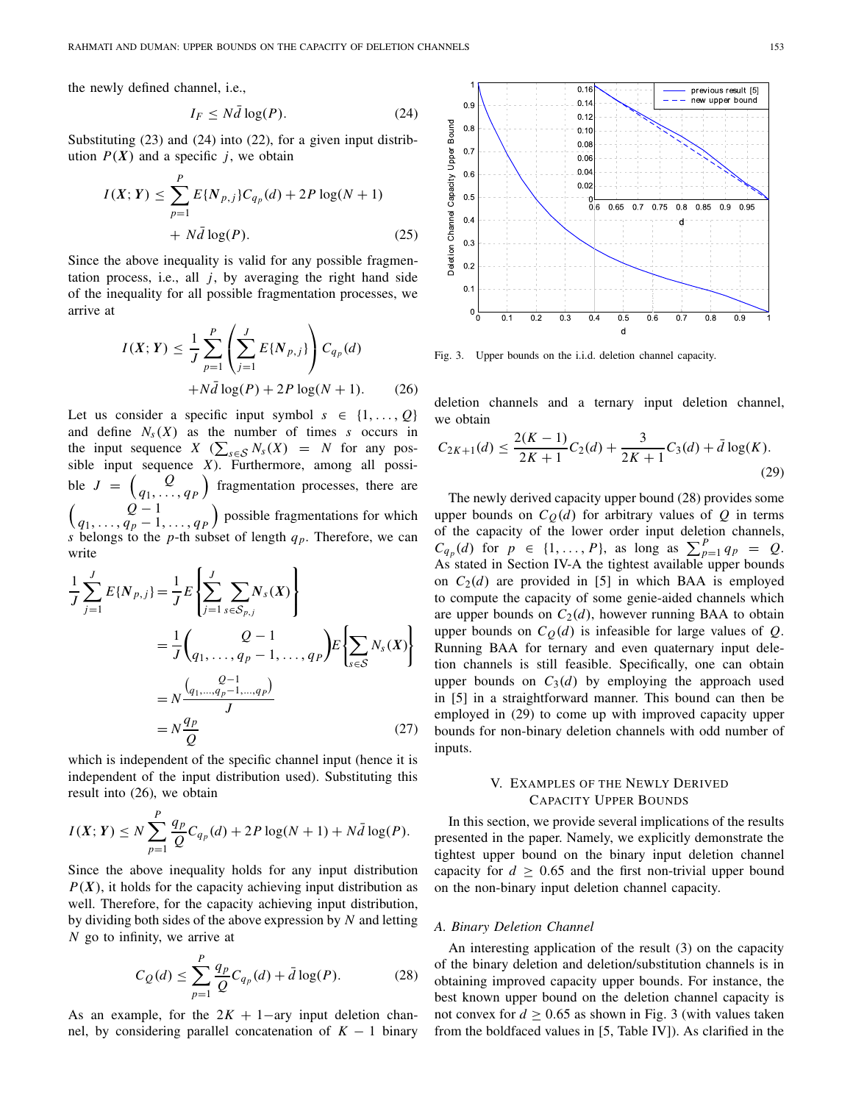the newly defined channel, i.e.,

$$
I_F \le N\bar{d}\log(P). \tag{24}
$$

Substituting (23) and (24) into (22), for a given input distribution  $P(X)$  and a specific *j*, we obtain

$$
I(X; Y) \le \sum_{p=1}^{P} E\{N_{p,j}\} C_{q_p}(d) + 2P \log(N + 1) + N\bar{d} \log(P).
$$
 (25)

Since the above inequality is valid for any possible fragmentation process, i.e., all  $j$ , by averaging the right hand side of the inequality for all possible fragmentation processes, we arrive at

$$
I(X; Y) \le \frac{1}{J} \sum_{p=1}^{P} \left( \sum_{j=1}^{J} E\{N_{p,j}\} \right) C_{q_p}(d)
$$
  
+ $N\bar{d} \log(P) + 2P \log(N + 1).$  (26)

Let us consider a specific input symbol  $s \in \{1, ..., Q\}$ and define  $N_s(X)$  as the number of times *s* occurs in the input sequence *X* ( $\sum_{s \in S} N_s(X) = N$  for any possible input sequence *X*). Furthermore, among all possible  $J = \begin{pmatrix} Q & Q \end{pmatrix}$  $\left( \begin{array}{c} Q \\ q_1, \ldots, q_P \end{array} \right)$  fragmentation processes, there are  $Q - 1$  $q_1, \ldots, q_p-1, \ldots, q_P$  possible fragmentations for which *s* belongs to the *p*-th subset of length  $q_p$ . Therefore, we can write

$$
\frac{1}{J} \sum_{j=1}^{J} E\{N_{p,j}\} = \frac{1}{J} E\left\{ \sum_{j=1}^{J} \sum_{s \in S_{p,j}} N_s(X) \right\} \n= \frac{1}{J} \binom{Q-1}{q_1, \dots, q_p - 1, \dots, q_P} E\left\{ \sum_{s \in S} N_s(X) \right\} \n= N \frac{\binom{Q-1}{q_1, \dots, q_p - 1, \dots, q_P}}{J} \n= N \frac{q_p}{Q}
$$
\n(27)

which is independent of the specific channel input (hence it is independent of the input distribution used). Substituting this result into (26), we obtain

$$
I(X; Y) \le N \sum_{p=1}^{P} \frac{q_p}{Q} C_{q_p}(d) + 2P \log(N + 1) + N\bar{d} \log(P).
$$

Since the above inequality holds for any input distribution  $P(X)$ , it holds for the capacity achieving input distribution as well. Therefore, for the capacity achieving input distribution, by dividing both sides of the above expression by *N* and letting *N* go to infinity, we arrive at

$$
C_Q(d) \le \sum_{p=1}^P \frac{q_p}{Q} C_{q_p}(d) + \bar{d} \log(P). \tag{28}
$$

As an example, for the  $2K + 1 - ary$  input deletion channel, by considering parallel concatenation of  $K - 1$  binary



Fig. 3. Upper bounds on the i.i.d. deletion channel capacity.

deletion channels and a ternary input deletion channel, we obtain

$$
C_{2K+1}(d) \le \frac{2(K-1)}{2K+1}C_2(d) + \frac{3}{2K+1}C_3(d) + \bar{d}\log(K). \tag{29}
$$

The newly derived capacity upper bound (28) provides some upper bounds on  $C<sub>O</sub>(d)$  for arbitrary values of  $Q$  in terms of the capacity of the lower order input deletion channels,  $C_{q_p}(d)$  for  $p \in \{1, ..., P\}$ , as long as  $\sum_{p=1}^P q_p = Q$ . As stated in Section IV-A the tightest available upper bounds on  $C_2(d)$  are provided in [5] in which BAA is employed to compute the capacity of some genie-aided channels which are upper bounds on  $C_2(d)$ , however running BAA to obtain upper bounds on  $C<sub>O</sub>(d)$  is infeasible for large values of  $Q$ . Running BAA for ternary and even quaternary input deletion channels is still feasible. Specifically, one can obtain upper bounds on  $C_3(d)$  by employing the approach used in [5] in a straightforward manner. This bound can then be employed in (29) to come up with improved capacity upper bounds for non-binary deletion channels with odd number of inputs.

# V. EXAMPLES OF THE NEWLY DERIVED CAPACITY UPPER BOUNDS

In this section, we provide several implications of the results presented in the paper. Namely, we explicitly demonstrate the tightest upper bound on the binary input deletion channel capacity for  $d > 0.65$  and the first non-trivial upper bound on the non-binary input deletion channel capacity.

## *A. Binary Deletion Channel*

An interesting application of the result (3) on the capacity of the binary deletion and deletion/substitution channels is in obtaining improved capacity upper bounds. For instance, the best known upper bound on the deletion channel capacity is not convex for  $d > 0.65$  as shown in Fig. 3 (with values taken from the boldfaced values in [5, Table IV]). As clarified in the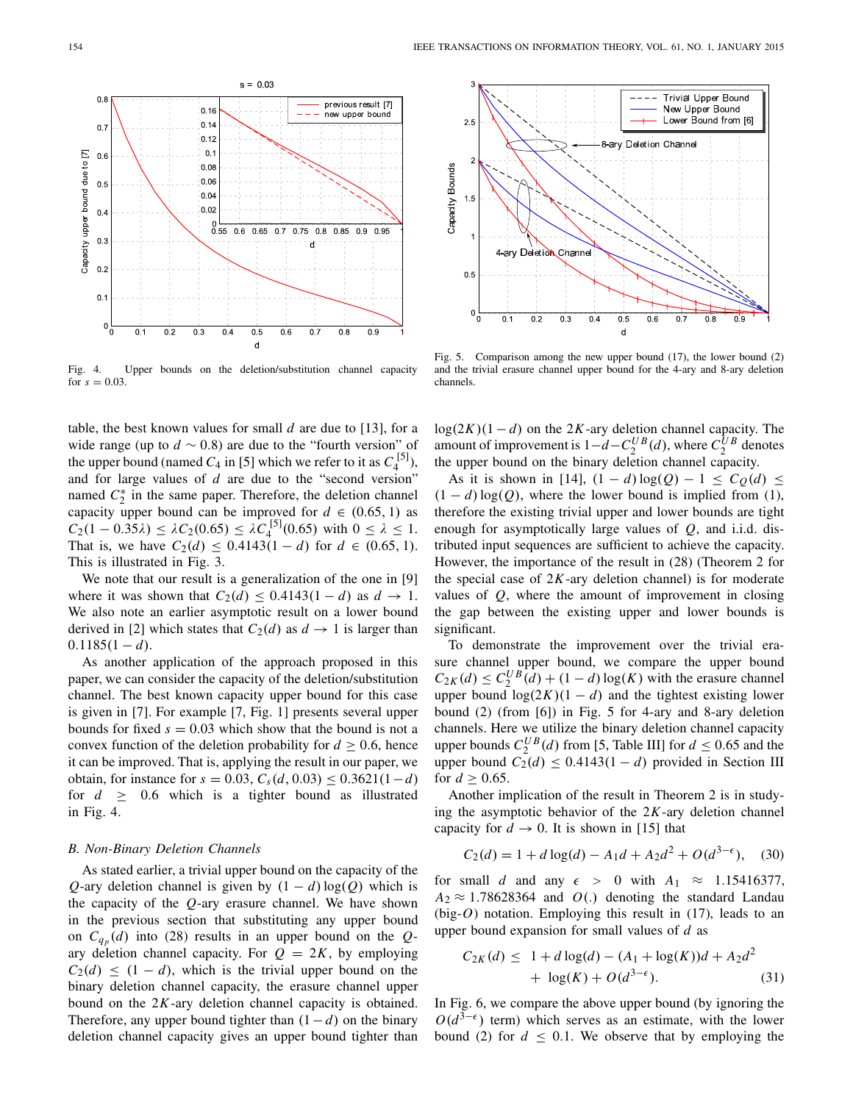

Fig. 4. Upper bounds on the deletion/substitution channel capacity for  $s = 0.03$ .

table, the best known values for small *d* are due to [13], for a wide range (up to  $d \sim 0.8$ ) are due to the "fourth version" of the upper bound (named  $C_4$  in [5] which we refer to it as  $C_4^{[5]}$ ), and for large values of *d* are due to the "second version" named  $C_2^*$  in the same paper. Therefore, the deletion channel capacity upper bound can be improved for  $d \in (0.65, 1)$  as  $C_2(1 - 0.35\lambda) \leq \lambda C_2(0.65) \leq \lambda C_4^{5} (0.65)$  with  $0 \leq \lambda \leq 1$ . That is, we have  $C_2(d)$  ≤ 0.4143(1 − *d*) for  $d \text{ ∈ } (0.65, 1)$ . This is illustrated in Fig. 3.

We note that our result is a generalization of the one in [9] where it was shown that  $C_2(d) \leq 0.4143(1-d)$  as  $d \to 1$ . We also note an earlier asymptotic result on a lower bound derived in [2] which states that  $C_2(d)$  as  $d \rightarrow 1$  is larger than  $0.1185(1-d)$ .

As another application of the approach proposed in this paper, we can consider the capacity of the deletion/substitution channel. The best known capacity upper bound for this case is given in [7]. For example [7, Fig. 1] presents several upper bounds for fixed  $s = 0.03$  which show that the bound is not a convex function of the deletion probability for  $d > 0.6$ , hence it can be improved. That is, applying the result in our paper, we obtain, for instance for  $s = 0.03$ ,  $C_s(d, 0.03) \leq 0.3621(1-d)$ for  $d \geq 0.6$  which is a tighter bound as illustrated in Fig. 4.

#### *B. Non-Binary Deletion Channels*

As stated earlier, a trivial upper bound on the capacity of the *Q*-ary deletion channel is given by  $(1 - d) \log(Q)$  which is the capacity of the *Q*-ary erasure channel. We have shown in the previous section that substituting any upper bound on  $C_{q_p}(d)$  into (28) results in an upper bound on the *Q*ary deletion channel capacity. For  $Q = 2K$ , by employing  $C_2(d) \leq (1-d)$ , which is the trivial upper bound on the binary deletion channel capacity, the erasure channel upper bound on the 2*K*-ary deletion channel capacity is obtained. Therefore, any upper bound tighter than (1−*d*) on the binary deletion channel capacity gives an upper bound tighter than



Fig. 5. Comparison among the new upper bound (17), the lower bound (2) and the trivial erasure channel upper bound for the 4-ary and 8-ary deletion channels.

 $log(2K)(1-d)$  on the 2K-ary deletion channel capacity. The amount of improvement is  $1-d-C_2^{UB}(d)$ , where  $C_2^{UB}$  denotes the upper bound on the binary deletion channel capacity.

As it is shown in [14],  $(1 - d) \log(Q) - 1 \leq C_O(d) \leq$  $(1 - d) \log(Q)$ , where the lower bound is implied from (1), therefore the existing trivial upper and lower bounds are tight enough for asymptotically large values of *Q*, and i.i.d. distributed input sequences are sufficient to achieve the capacity. However, the importance of the result in (28) (Theorem 2 for the special case of  $2K$ -ary deletion channel) is for moderate values of *Q*, where the amount of improvement in closing the gap between the existing upper and lower bounds is significant.

To demonstrate the improvement over the trivial erasure channel upper bound, we compare the upper bound  $C_{2K}(d) \le C_2^{UB}(d) + (1 - d)\log(K)$  with the erasure channel upper bound  $\log(2K)(1 - d)$  and the tightest existing lower bound (2) (from [6]) in Fig. 5 for 4-ary and 8-ary deletion channels. Here we utilize the binary deletion channel capacity upper bounds  $C_2^{UB}(d)$  from [5, Table III] for  $d \le 0.65$  and the upper bound  $C_2(d) \leq 0.4143(1-d)$  provided in Section III for  $d \ge 0.65$ .

Another implication of the result in Theorem 2 is in studying the asymptotic behavior of the 2*K*-ary deletion channel capacity for  $d \to 0$ . It is shown in [15] that

$$
C_2(d) = 1 + d \log(d) - A_1 d + A_2 d^2 + O(d^{3-\epsilon}), \quad (30)
$$

for small *d* and any  $\epsilon > 0$  with  $A_1 \approx 1.15416377$ ,  $A_2 \approx 1.78628364$  and *O*(.) denoting the standard Landau (big-*O*) notation. Employing this result in (17), leads to an upper bound expansion for small values of *d* as

$$
C_{2K}(d) \le 1 + d \log(d) - (A_1 + \log(K))d + A_2 d^2 + \log(K) + O(d^{3-\epsilon}).
$$
\n(31)

In Fig. 6, we compare the above upper bound (by ignoring the  $O(d^{3-\epsilon})$  term) which serves as an estimate, with the lower bound (2) for  $d \leq 0.1$ . We observe that by employing the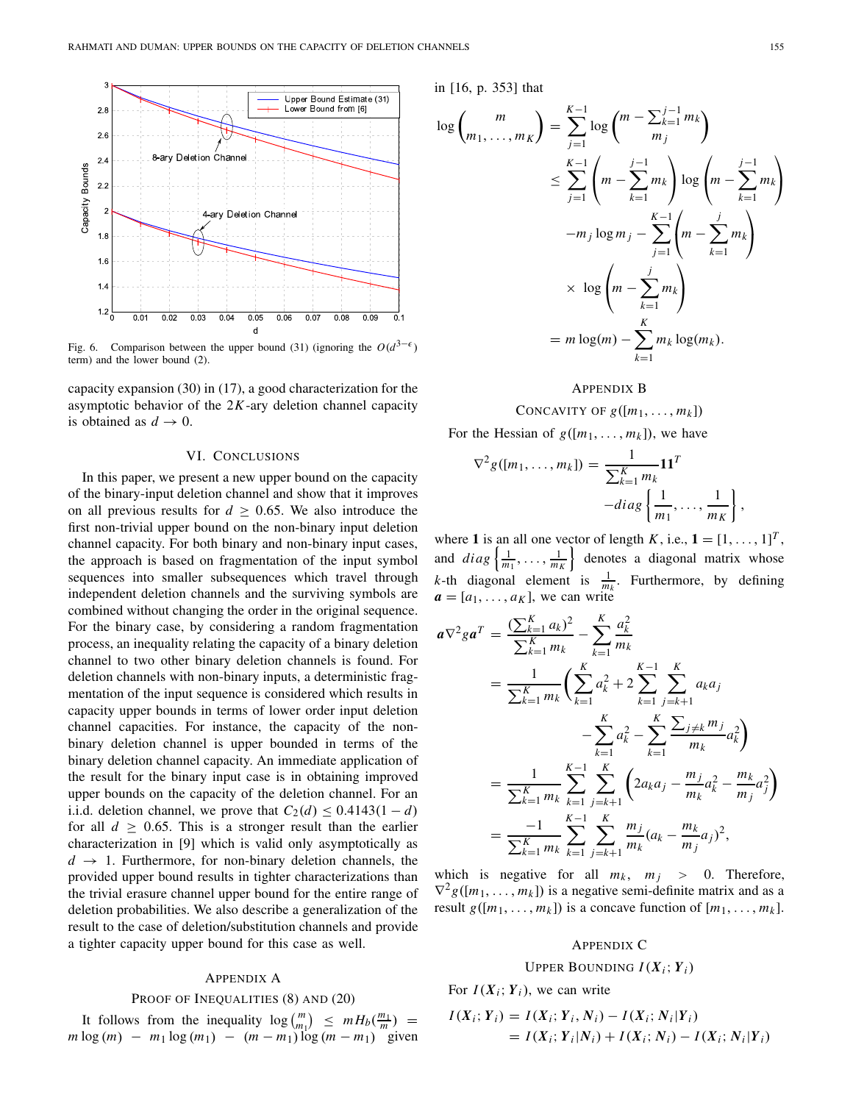

Fig. 6. Comparison between the upper bound (31) (ignoring the  $O(d^{3-\epsilon})$ term) and the lower bound (2).

capacity expansion (30) in (17), a good characterization for the asymptotic behavior of the 2*K*-ary deletion channel capacity is obtained as  $d \rightarrow 0$ .

## VI. CONCLUSIONS

In this paper, we present a new upper bound on the capacity of the binary-input deletion channel and show that it improves on all previous results for  $d > 0.65$ . We also introduce the first non-trivial upper bound on the non-binary input deletion channel capacity. For both binary and non-binary input cases, the approach is based on fragmentation of the input symbol sequences into smaller subsequences which travel through independent deletion channels and the surviving symbols are combined without changing the order in the original sequence. For the binary case, by considering a random fragmentation process, an inequality relating the capacity of a binary deletion channel to two other binary deletion channels is found. For deletion channels with non-binary inputs, a deterministic fragmentation of the input sequence is considered which results in capacity upper bounds in terms of lower order input deletion channel capacities. For instance, the capacity of the nonbinary deletion channel is upper bounded in terms of the binary deletion channel capacity. An immediate application of the result for the binary input case is in obtaining improved upper bounds on the capacity of the deletion channel. For an i.i.d. deletion channel, we prove that  $C_2(d) \leq 0.4143(1-d)$ for all  $d \geq 0.65$ . This is a stronger result than the earlier characterization in [9] which is valid only asymptotically as  $d \rightarrow 1$ . Furthermore, for non-binary deletion channels, the provided upper bound results in tighter characterizations than the trivial erasure channel upper bound for the entire range of deletion probabilities. We also describe a generalization of the result to the case of deletion/substitution channels and provide a tighter capacity upper bound for this case as well.

## APPENDIX A

#### PROOF OF INEQUALITIES (8) AND (20)

It follows from the inequality  $\log {m \choose m_1} \le m H_b({m_1 \over m})$  $m \log(m) - m_1 \log(m_1) - (m - m_1) \log(m - m_1)$  given in [16, p. 353] that

$$
\log {m \choose m_1, ..., m_K} = \sum_{j=1}^{K-1} \log {m - \sum_{k=1}^{j-1} m_k \choose m_j} \n\le \sum_{j=1}^{K-1} {m - \sum_{k=1}^{j-1} m_k \choose m - \sum_{k=1}^{K-1} m_k} \log {m - \sum_{k=1}^{j-1} m_k \choose m - \sum_{j=1}^{K-1} {m - \sum_{k=1}^{j} m_k \choose k}} \n\qquad \times \log {m - \sum_{k=1}^{j} m_k \choose k} \n= m \log(m) - \sum_{k=1}^{K} m_k \log(m_k).
$$

# APPENDIX B

## CONCAVITY OF  $g([m_1, \ldots, m_k])$

For the Hessian of  $g([m_1, \ldots, m_k])$ , we have

$$
\nabla^2 g([m_1,\ldots,m_k]) = \frac{1}{\sum_{k=1}^K m_k} \mathbf{1}\mathbf{1}^T
$$

$$
-diag\left\{\frac{1}{m_1},\ldots,\frac{1}{m_K}\right\},\,
$$

where 1 is an all one vector of length *K*, i.e.,  $1 = [1, \ldots, 1]^T$ , and  $diag\left\{\frac{1}{m_1},\ldots,\frac{1}{m_K}\right\}$  denotes a diagonal matrix whose *k*-th diagonal element is  $\frac{1}{m_k}$ . Furthermore, by defining  $a = [a_1, \ldots, a_K]$ , we can write

$$
a\nabla^2 g a^T = \frac{(\sum_{k=1}^K a_k)^2}{\sum_{k=1}^K m_k} - \sum_{k=1}^K \frac{a_k^2}{m_k}
$$
  
\n
$$
= \frac{1}{\sum_{k=1}^K m_k} \left( \sum_{k=1}^K a_k^2 + 2 \sum_{k=1}^{K-1} \sum_{j=k+1}^K a_k a_j - \sum_{k=1}^K \frac{2}{m_k} \sum_{j=k}^K a_k^2 \right)
$$
  
\n
$$
= \frac{1}{\sum_{k=1}^K m_k} \sum_{k=1}^{K-1} \sum_{j=k+1}^K \left( 2a_k a_j - \frac{m_j}{m_k} a_k^2 - \frac{m_k}{m_j} a_j^2 \right)
$$
  
\n
$$
= \frac{-1}{\sum_{k=1}^K m_k} \sum_{k=1}^{K-1} \sum_{j=k+1}^K \frac{m_j}{m_k} (a_k - \frac{m_k}{m_j} a_j)^2,
$$

which is negative for all  $m_k$ ,  $m_j > 0$ . Therefore,  $\nabla^2 g([m_1,\ldots,m_k])$  is a negative semi-definite matrix and as a result  $g([m_1, \ldots, m_k])$  is a concave function of  $[m_1, \ldots, m_k]$ .

## APPENDIX C

#### UPPER BOUNDING  $I(X_i; Y_i)$

For  $I(X_i; Y_i)$ , we can write

$$
I(X_i; Y_i) = I(X_i; Y_i, N_i) - I(X_i; N_i|Y_i)
$$
  
=  $I(X_i; Y_i|N_i) + I(X_i; N_i) - I(X_i; N_i|Y_i)$